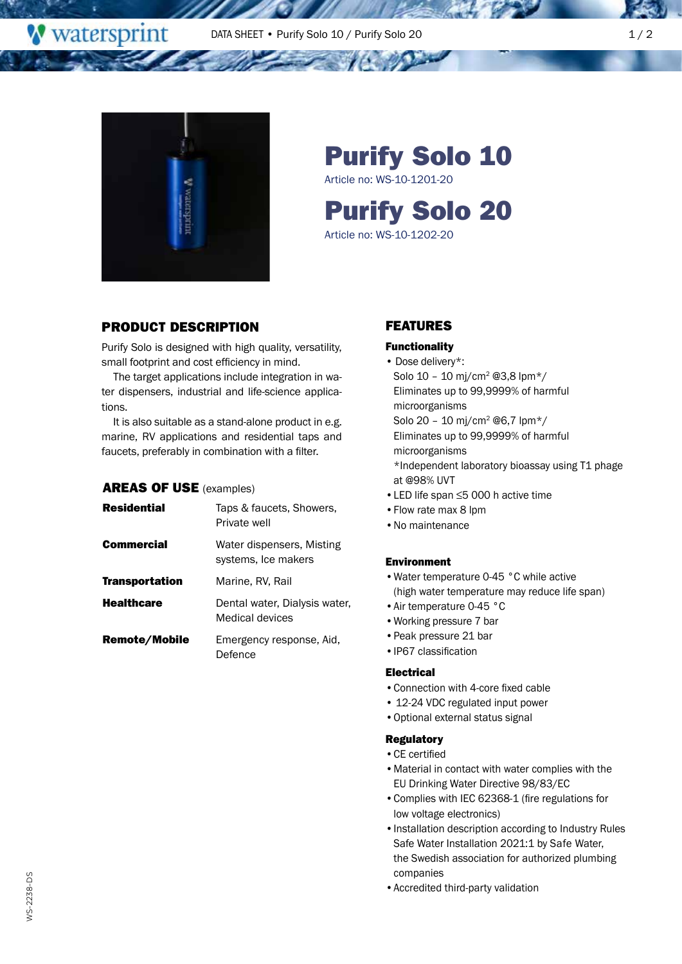

<u>an na</u>

**W** watersprint

# Purify Solo 10

Article no: WS-10-1201-20

Purify Solo 20

Article no: WS-10-1202-20

## PRODUCT DESCRIPTION

Purify Solo is designed with high quality, versatility, small footprint and cost efficiency in mind.

The target applications include integration in water dispensers, industrial and life-science applications.

It is also suitable as a stand-alone product in e.g. marine, RV applications and residential taps and faucets, preferably in combination with a filter.

## AREAS OF USE (examples)

| <b>Residential</b> | Taps & faucets, Showers,<br>Private well         |
|--------------------|--------------------------------------------------|
| Commercial         | Water dispensers, Misting<br>systems, Ice makers |
| Transportation     | Marine, RV, Rail                                 |
| <b>Healthcare</b>  | Dental water, Dialysis water,<br>Medical devices |
| Remote/Mobile      | Emergency response, Aid,<br>Defence              |

## FEATURES

#### Functionality

- Dose delivery\*: Solo 10 – 10 mj/cm2 @3,8 lpm\*/ Eliminates up to 99,9999% of harmful microorganisms Solo 20 – 10 mj/cm2 @6,7 lpm\*/ Eliminates up to 99,9999% of harmful microorganisms \*Independent laboratory bioassay using T1 phage at @98% UVT •LED life span ≤5 000 h active time
- •Flow rate max 8 lpm
- •No maintenance

#### Environment

- •Water temperature 0-45 °C while active (high water temperature may reduce life span)
- •Air temperature 0-45 °C
- •Working pressure 7 bar
- •Peak pressure 21 bar
- •IP67 classification

#### Electrical

- •Connection with 4-core fixed cable
- 12-24 VDC regulated input power
- •Optional external status signal

#### Regulatory

- •CE certified
- •Material in contact with water complies with the EU Drinking Water Directive 98/83/EC
- •Complies with IEC 62368-1 (fire regulations for low voltage electronics)
- •Installation description according to Industry Rules Safe Water Installation 2021:1 by Safe Water, the Swedish association for authorized plumbing companies
- •Accredited third-party validation